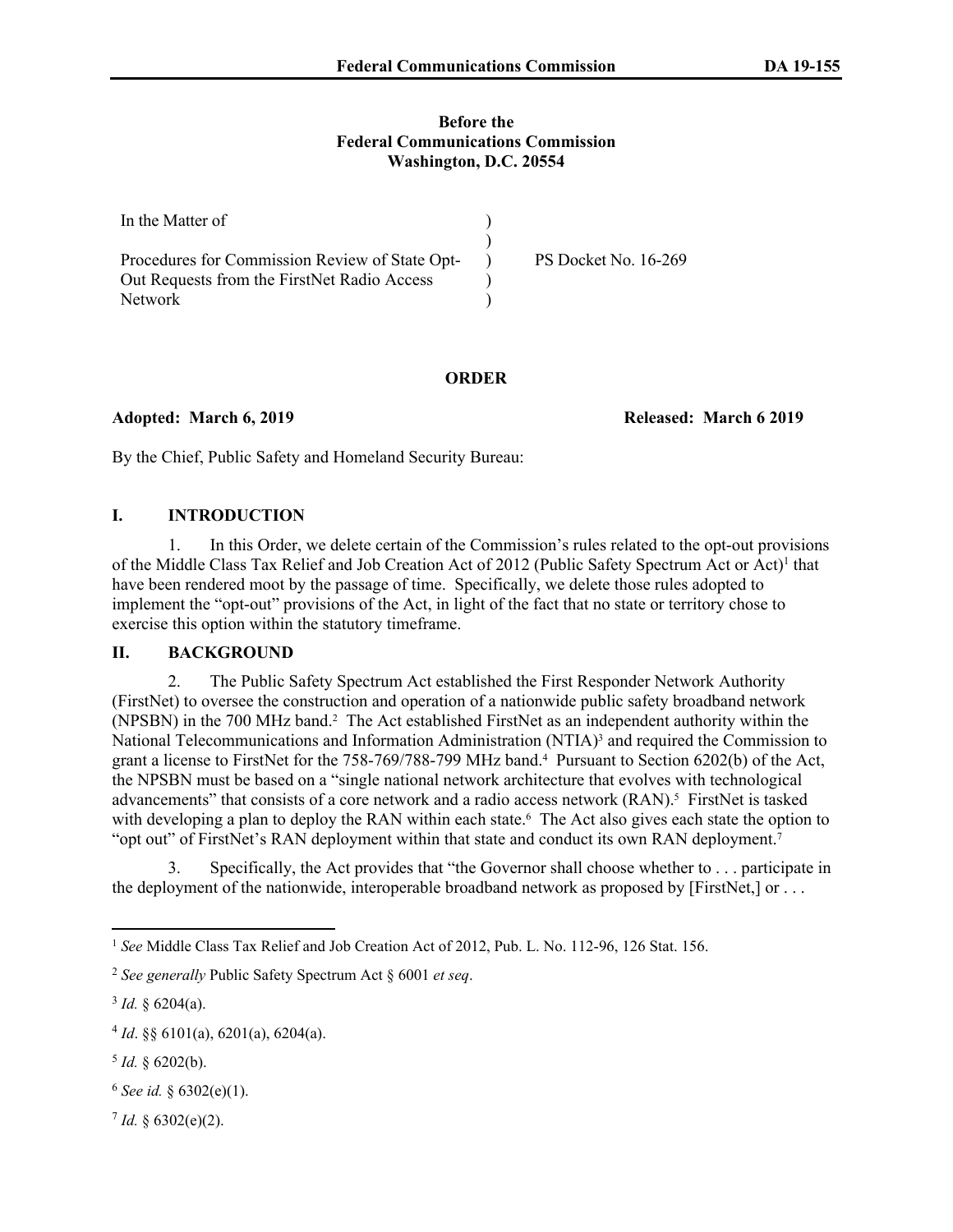#### **Before the Federal Communications Commission Washington, D.C. 20554**

| In the Matter of                               |                      |
|------------------------------------------------|----------------------|
|                                                |                      |
| Procedures for Commission Review of State Opt- | PS Docket No. 16-269 |
| Out Requests from the FirstNet Radio Access    |                      |
| <b>Network</b>                                 |                      |

# **ORDER**

**Adopted: March 6, 2019 Released: March 6 2019**

By the Chief, Public Safety and Homeland Security Bureau:

# **I. INTRODUCTION**

1. In this Order, we delete certain of the Commission's rules related to the opt-out provisions of the Middle Class Tax Relief and Job Creation Act of 2012 (Public Safety Spectrum Act or Act)<sup>1</sup> that have been rendered moot by the passage of time. Specifically, we delete those rules adopted to implement the "opt-out" provisions of the Act, in light of the fact that no state or territory chose to exercise this option within the statutory timeframe.

# **II. BACKGROUND**

2. The Public Safety Spectrum Act established the First Responder Network Authority (FirstNet) to oversee the construction and operation of a nationwide public safety broadband network (NPSBN) in the 700 MHz band.<sup>2</sup> The Act established FirstNet as an independent authority within the National Telecommunications and Information Administration (NTIA)<sup>3</sup> and required the Commission to grant a license to FirstNet for the 758-769/788-799 MHz band.<sup>4</sup> Pursuant to Section 6202(b) of the Act, the NPSBN must be based on a "single national network architecture that evolves with technological advancements" that consists of a core network and a radio access network (RAN).<sup>5</sup> FirstNet is tasked with developing a plan to deploy the RAN within each state.<sup>6</sup> The Act also gives each state the option to "opt out" of FirstNet's RAN deployment within that state and conduct its own RAN deployment.<sup>7</sup>

3. Specifically, the Act provides that "the Governor shall choose whether to . . . participate in the deployment of the nationwide, interoperable broadband network as proposed by [FirstNet,] or . . .

 $3$  *Id.* § 6204(a).

<sup>6</sup> *See id.* § 6302(e)(1).

 $7$  *Id.* § 6302(e)(2).

<sup>1</sup> *See* Middle Class Tax Relief and Job Creation Act of 2012, Pub. L. No. 112-96, 126 Stat. 156.

<sup>2</sup> *See generally* Public Safety Spectrum Act § 6001 *et seq*.

 $4 Id. \S \S 6101(a), 6201(a), 6204(a).$ 

 $5$  *Id.* § 6202(b).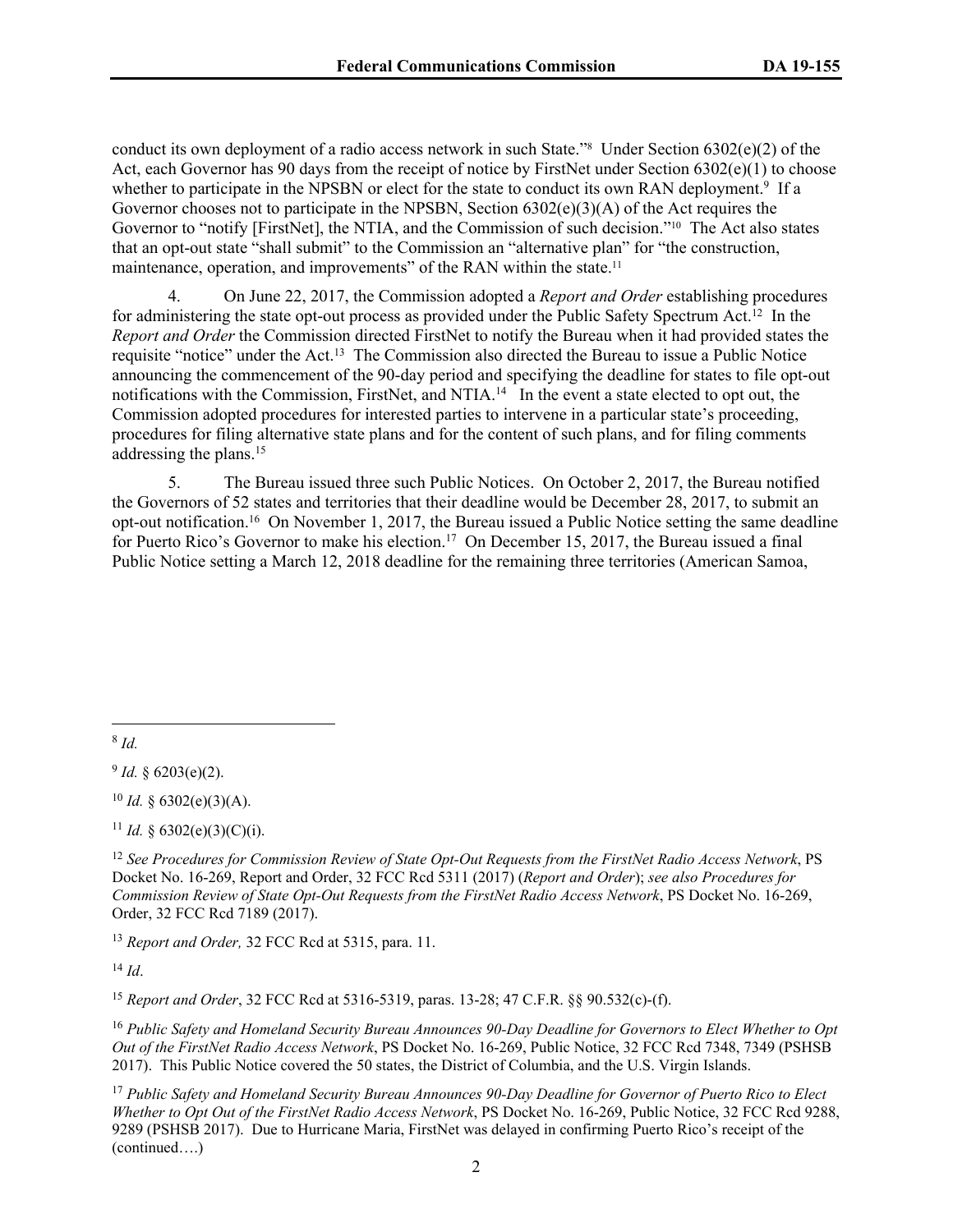conduct its own deployment of a radio access network in such State."<sup>8</sup> Under Section 6302(e)(2) of the Act, each Governor has 90 days from the receipt of notice by FirstNet under Section  $6302(e)(1)$  to choose whether to participate in the NPSBN or elect for the state to conduct its own RAN deployment.<sup>9</sup> If a Governor chooses not to participate in the NPSBN, Section 6302(e)(3)(A) of the Act requires the Governor to "notify [FirstNet], the NTIA, and the Commission of such decision."10 The Act also states that an opt-out state "shall submit" to the Commission an "alternative plan" for "the construction, maintenance, operation, and improvements" of the RAN within the state.<sup>11</sup>

4. On June 22, 2017, the Commission adopted a *Report and Order* establishing procedures for administering the state opt-out process as provided under the Public Safety Spectrum Act.<sup>12</sup> In the *Report and Order* the Commission directed FirstNet to notify the Bureau when it had provided states the requisite "notice" under the Act.<sup>13</sup> The Commission also directed the Bureau to issue a Public Notice announcing the commencement of the 90-day period and specifying the deadline for states to file opt-out notifications with the Commission, FirstNet, and NTIA.<sup>14</sup> In the event a state elected to opt out, the Commission adopted procedures for interested parties to intervene in a particular state's proceeding, procedures for filing alternative state plans and for the content of such plans, and for filing comments addressing the plans.<sup>15</sup>

5. The Bureau issued three such Public Notices. On October 2, 2017, the Bureau notified the Governors of 52 states and territories that their deadline would be December 28, 2017, to submit an opt-out notification.<sup>16</sup> On November 1, 2017, the Bureau issued a Public Notice setting the same deadline for Puerto Rico's Governor to make his election.<sup>17</sup> On December 15, 2017, the Bureau issued a final Public Notice setting a March 12, 2018 deadline for the remaining three territories (American Samoa,

8 *Id.*

 $9$  *Id.* § 6203(e)(2).

 $10$  *Id.* § 6302(e)(3)(A).

<sup>11</sup> *Id.* § 6302(e)(3)(C)(i).

<sup>12</sup> *See Procedures for Commission Review of State Opt-Out Requests from the FirstNet Radio Access Network*, PS Docket No. 16-269, Report and Order, 32 FCC Rcd 5311 (2017) (*Report and Order*); *see also Procedures for Commission Review of State Opt-Out Requests from the FirstNet Radio Access Network*, PS Docket No. 16-269, Order, 32 FCC Rcd 7189 (2017).

<sup>13</sup> *Report and Order,* 32 FCC Rcd at 5315, para. 11.

<sup>14</sup> *Id*.

<sup>15</sup> *Report and Order*, 32 FCC Rcd at 5316-5319, paras. 13-28; 47 C.F.R. §§ 90.532(c)-(f).

<sup>16</sup> *Public Safety and Homeland Security Bureau Announces 90-Day Deadline for Governors to Elect Whether to Opt Out of the FirstNet Radio Access Network*, PS Docket No. 16-269, Public Notice, 32 FCC Rcd 7348, 7349 (PSHSB 2017). This Public Notice covered the 50 states, the District of Columbia, and the U.S. Virgin Islands.

<sup>17</sup> *Public Safety and Homeland Security Bureau Announces 90-Day Deadline for Governor of Puerto Rico to Elect Whether to Opt Out of the FirstNet Radio Access Network*, PS Docket No. 16-269, Public Notice, 32 FCC Rcd 9288, 9289 (PSHSB 2017). Due to Hurricane Maria, FirstNet was delayed in confirming Puerto Rico's receipt of the (continued….)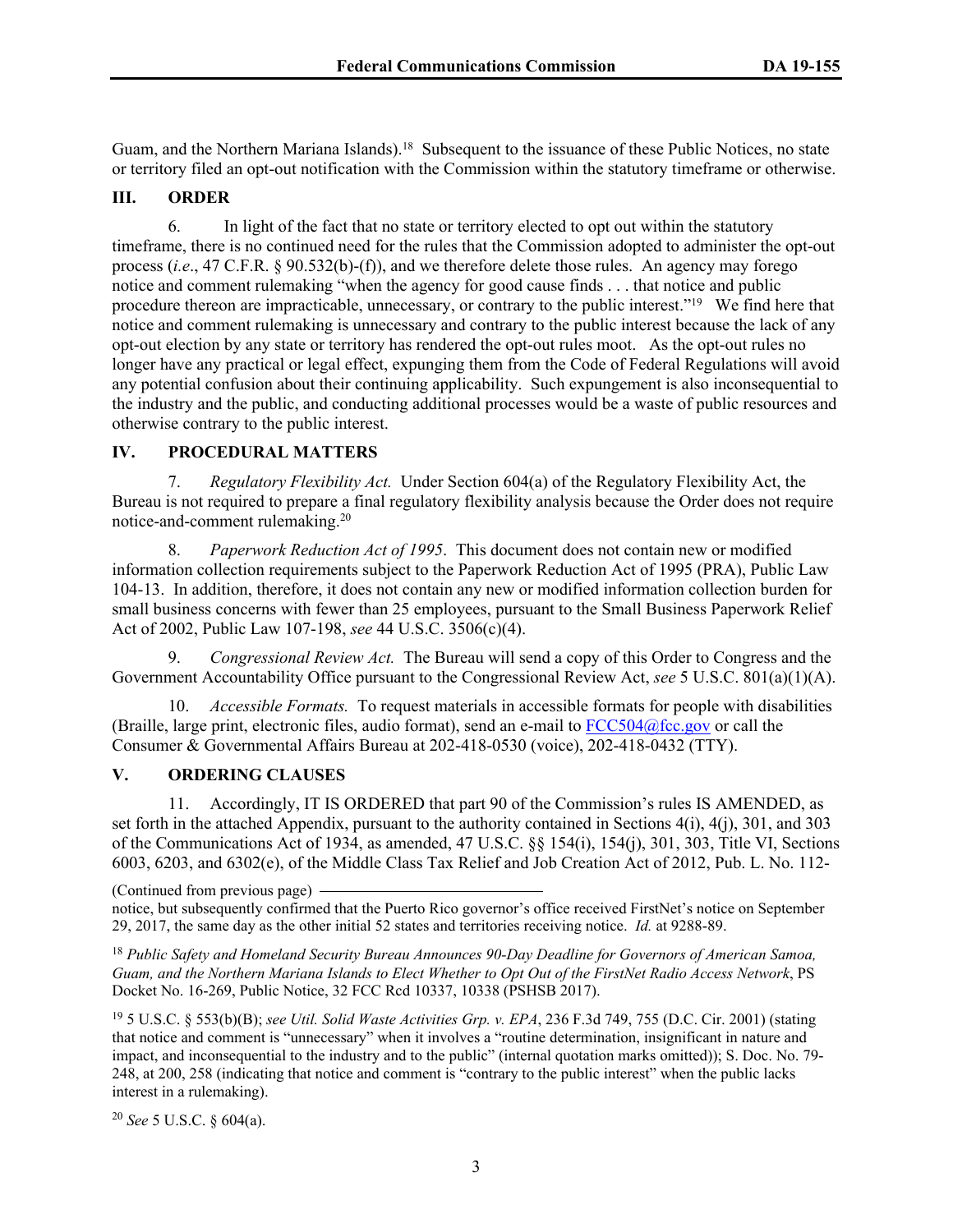Guam, and the Northern Mariana Islands).<sup>18</sup> Subsequent to the issuance of these Public Notices, no state or territory filed an opt-out notification with the Commission within the statutory timeframe or otherwise.

# **III. ORDER**

6. In light of the fact that no state or territory elected to opt out within the statutory timeframe, there is no continued need for the rules that the Commission adopted to administer the opt-out process (*i.e.*, 47 C.F.R. § 90.532(b)-(f)), and we therefore delete those rules. An agency may forego notice and comment rulemaking "when the agency for good cause finds . . . that notice and public procedure thereon are impracticable, unnecessary, or contrary to the public interest."<sup>19</sup> We find here that notice and comment rulemaking is unnecessary and contrary to the public interest because the lack of any opt-out election by any state or territory has rendered the opt-out rules moot. As the opt-out rules no longer have any practical or legal effect, expunging them from the Code of Federal Regulations will avoid any potential confusion about their continuing applicability. Such expungement is also inconsequential to the industry and the public, and conducting additional processes would be a waste of public resources and otherwise contrary to the public interest.

### **IV. PROCEDURAL MATTERS**

7. *Regulatory Flexibility Act.* Under Section 604(a) of the Regulatory Flexibility Act, the Bureau is not required to prepare a final regulatory flexibility analysis because the Order does not require notice-and-comment rulemaking.<sup>20</sup>

8. *Paperwork Reduction Act of 1995*. This document does not contain new or modified information collection requirements subject to the Paperwork Reduction Act of 1995 (PRA), Public Law 104-13. In addition, therefore, it does not contain any new or modified information collection burden for small business concerns with fewer than 25 employees, pursuant to the Small Business Paperwork Relief Act of 2002, Public Law 107-198, *see* 44 U.S.C. 3506(c)(4).

9. *Congressional Review Act.* The Bureau will send a copy of this Order to Congress and the Government Accountability Office pursuant to the Congressional Review Act, *see* 5 U.S.C. 801(a)(1)(A).

10. *Accessible Formats.* To request materials in accessible formats for people with disabilities (Braille, large print, electronic files, audio format), send an e-mail to [FCC504@fcc.gov](mailto:FCC504@fcc.gov) or call the Consumer & Governmental Affairs Bureau at 202-418-0530 (voice), 202-418-0432 (TTY).

# **V. ORDERING CLAUSES**

11. Accordingly, IT IS ORDERED that part 90 of the Commission's rules IS AMENDED, as set forth in the attached Appendix, pursuant to the authority contained in Sections 4(i), 4(j), 301, and 303 of the Communications Act of 1934, as amended, 47 U.S.C. §§ 154(i), 154(j), 301, 303, Title VI, Sections 6003, 6203, and 6302(e), of the Middle Class Tax Relief and Job Creation Act of 2012, Pub. L. No. 112-

(Continued from previous page) notice, but subsequently confirmed that the Puerto Rico governor's office received FirstNet's notice on September 29, 2017, the same day as the other initial 52 states and territories receiving notice. *Id.* at 9288-89.

<sup>18</sup> *Public Safety and Homeland Security Bureau Announces 90-Day Deadline for Governors of American Samoa, Guam, and the Northern Mariana Islands to Elect Whether to Opt Out of the FirstNet Radio Access Network*, PS Docket No. 16-269, Public Notice, 32 FCC Rcd 10337, 10338 (PSHSB 2017).

<sup>19</sup> 5 U.S.C. § 553(b)(B); *see Util. Solid Waste Activities Grp. v. EPA*, 236 F.3d 749, 755 (D.C. Cir. 2001) (stating that notice and comment is "unnecessary" when it involves a "routine determination, insignificant in nature and impact, and inconsequential to the industry and to the public" (internal quotation marks omitted)); S. Doc. No. 79- 248, at 200, 258 (indicating that notice and comment is "contrary to the public interest" when the public lacks interest in a rulemaking).

<sup>20</sup> *See* 5 U.S.C. § 604(a).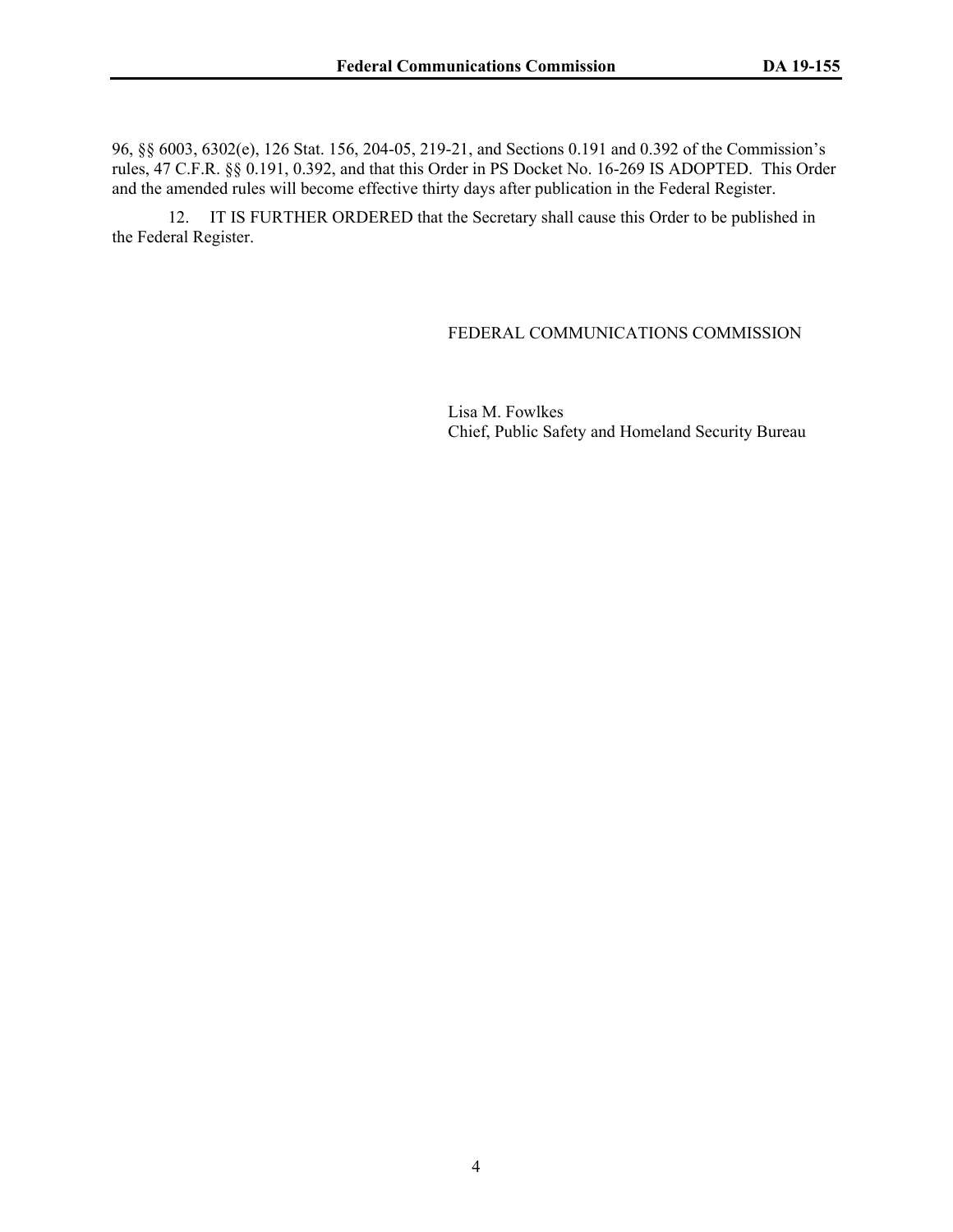96, §§ 6003, 6302(e), 126 Stat. 156, 204-05, 219-21, and Sections 0.191 and 0.392 of the Commission's rules, 47 C.F.R. §§ 0.191, 0.392, and that this Order in PS Docket No. 16-269 IS ADOPTED. This Order and the amended rules will become effective thirty days after publication in the Federal Register.

12. IT IS FURTHER ORDERED that the Secretary shall cause this Order to be published in the Federal Register.

#### FEDERAL COMMUNICATIONS COMMISSION

Lisa M. Fowlkes Chief, Public Safety and Homeland Security Bureau